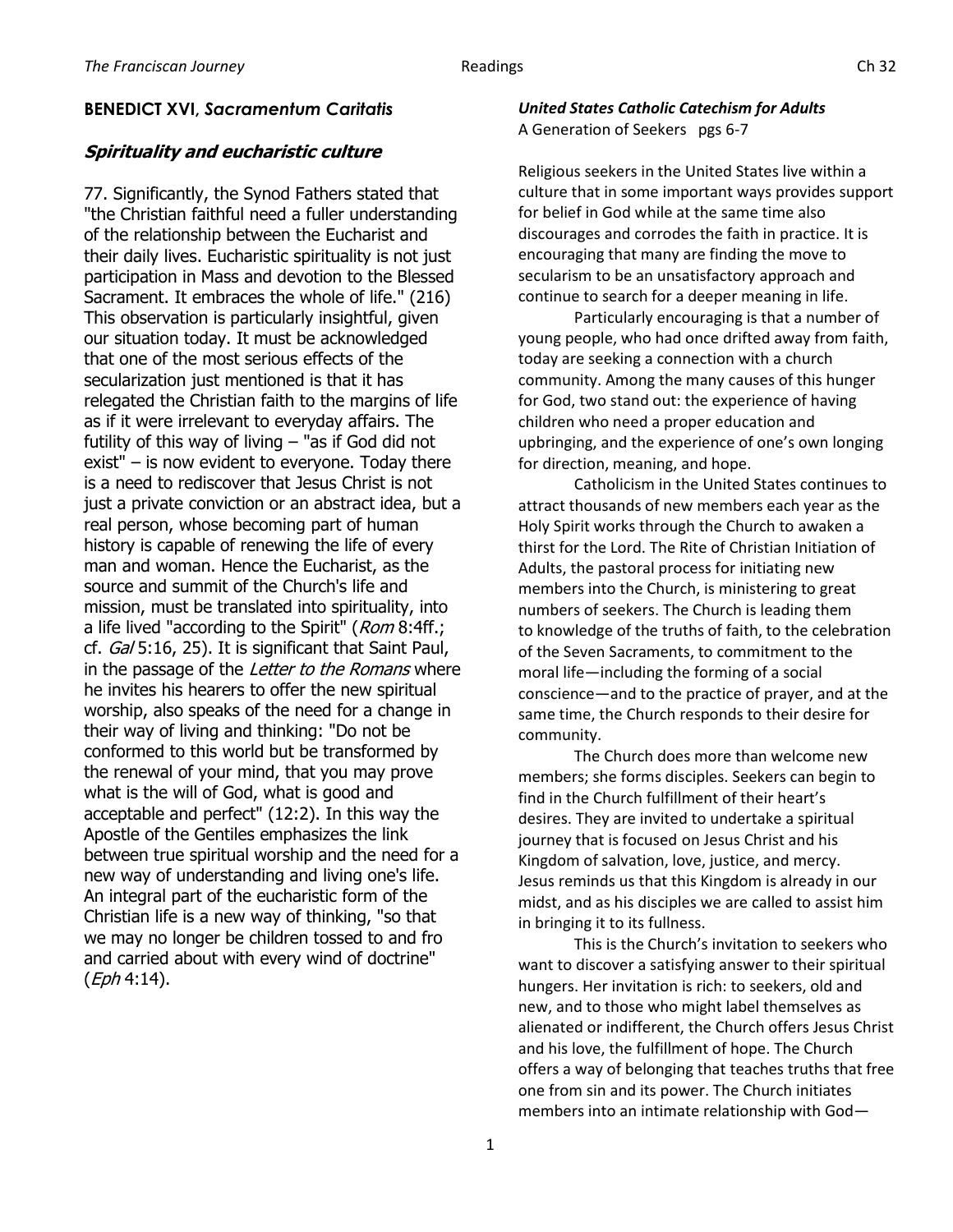### **BENEDICT XVI,** *Sacramentum Caritatis*

### **Spirituality and eucharistic culture**

77. Significantly, the Synod Fathers stated that "the Christian faithful need a fuller understanding of the relationship between the Eucharist and their daily lives. Eucharistic spirituality is not just participation in Mass and devotion to the Blessed Sacrament. It embraces the whole of life." (216) This observation is particularly insightful, given our situation today. It must be acknowledged that one of the most serious effects of the secularization just mentioned is that it has relegated the Christian faith to the margins of life as if it were irrelevant to everyday affairs. The futility of this way of living  $-$  "as if God did not exist" – is now evident to everyone. Today there is a need to rediscover that Jesus Christ is not just a private conviction or an abstract idea, but a real person, whose becoming part of human history is capable of renewing the life of every man and woman. Hence the Eucharist, as the source and summit of the Church's life and mission, must be translated into spirituality, into a life lived "according to the Spirit" (Rom 8:4ff.; cf. Gal 5:16, 25). It is significant that Saint Paul, in the passage of the Letter to the Romans where he invites his hearers to offer the new spiritual worship, also speaks of the need for a change in their way of living and thinking: "Do not be conformed to this world but be transformed by the renewal of your mind, that you may prove what is the will of God, what is good and acceptable and perfect" (12:2). In this way the Apostle of the Gentiles emphasizes the link between true spiritual worship and the need for a new way of understanding and living one's life. An integral part of the eucharistic form of the Christian life is a new way of thinking, "so that we may no longer be children tossed to and fro and carried about with every wind of doctrine"  $(Eph 4:14)$ .

#### *United States Catholic Catechism for Adults* A Generation of Seekers pgs 6-7

Religious seekers in the United States live within a culture that in some important ways provides support for belief in God while at the same time also discourages and corrodes the faith in practice. It is encouraging that many are finding the move to secularism to be an unsatisfactory approach and continue to search for a deeper meaning in life.

Particularly encouraging is that a number of young people, who had once drifted away from faith, today are seeking a connection with a church community. Among the many causes of this hunger for God, two stand out: the experience of having children who need a proper education and upbringing, and the experience of one's own longing for direction, meaning, and hope.

Catholicism in the United States continues to attract thousands of new members each year as the Holy Spirit works through the Church to awaken a thirst for the Lord. The Rite of Christian Initiation of Adults, the pastoral process for initiating new members into the Church, is ministering to great numbers of seekers. The Church is leading them to knowledge of the truths of faith, to the celebration of the Seven Sacraments, to commitment to the moral life—including the forming of a social conscience—and to the practice of prayer, and at the same time, the Church responds to their desire for community.

The Church does more than welcome new members; she forms disciples. Seekers can begin to find in the Church fulfillment of their heart's desires. They are invited to undertake a spiritual journey that is focused on Jesus Christ and his Kingdom of salvation, love, justice, and mercy. Jesus reminds us that this Kingdom is already in our midst, and as his disciples we are called to assist him in bringing it to its fullness.

This is the Church's invitation to seekers who want to discover a satisfying answer to their spiritual hungers. Her invitation is rich: to seekers, old and new, and to those who might label themselves as alienated or indifferent, the Church offers Jesus Christ and his love, the fulfillment of hope. The Church offers a way of belonging that teaches truths that free one from sin and its power. The Church initiates members into an intimate relationship with God—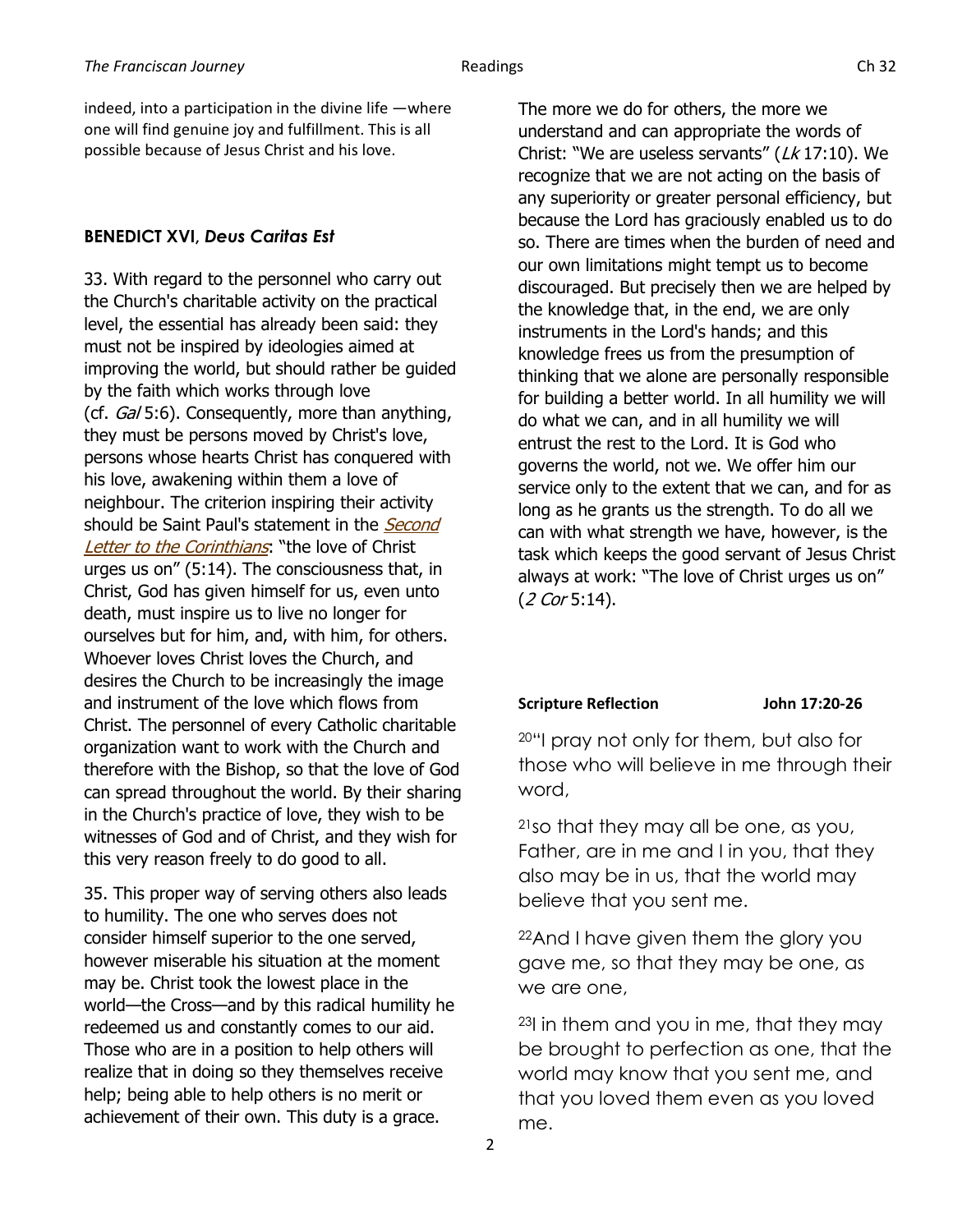# **BENEDICT XVI,** *Deus Caritas Est*

33. With regard to the personnel who carry out the Church's charitable activity on the practical level, the essential has already been said: they must not be inspired by ideologies aimed at improving the world, but should rather be guided by the faith which works through love (cf. Gal 5:6). Consequently, more than anything, they must be persons moved by Christ's love, persons whose hearts Christ has conquered with his love, awakening within them a love of neighbour. The criterion inspiring their activity should be Saint Paul's statement in the Second [Letter to the Corinthians](http://www.vatican.va/archive/ENG0839/__PZN.HTM): "the love of Christ urges us on" (5:14). The consciousness that, in Christ, God has given himself for us, even unto death, must inspire us to live no longer for ourselves but for him, and, with him, for others. Whoever loves Christ loves the Church, and desires the Church to be increasingly the image and instrument of the love which flows from Christ. The personnel of every Catholic charitable organization want to work with the Church and therefore with the Bishop, so that the love of God can spread throughout the world. By their sharing in the Church's practice of love, they wish to be witnesses of God and of Christ, and they wish for this very reason freely to do good to all.

35. This proper way of serving others also leads to humility. The one who serves does not consider himself superior to the one served, however miserable his situation at the moment may be. Christ took the lowest place in the world—the Cross—and by this radical humility he redeemed us and constantly comes to our aid. Those who are in a position to help others will realize that in doing so they themselves receive help; being able to help others is no merit or achievement of their own. This duty is a grace.

The more we do for others, the more we understand and can appropriate the words of Christ: "We are useless servants" ( $Lk$  17:10). We recognize that we are not acting on the basis of any superiority or greater personal efficiency, but because the Lord has graciously enabled us to do so. There are times when the burden of need and our own limitations might tempt us to become discouraged. But precisely then we are helped by the knowledge that, in the end, we are only instruments in the Lord's hands; and this knowledge frees us from the presumption of thinking that we alone are personally responsible for building a better world. In all humility we will do what we can, and in all humility we will entrust the rest to the Lord. It is God who governs the world, not we. We offer him our service only to the extent that we can, and for as long as he grants us the strength. To do all we can with what strength we have, however, is the task which keeps the good servant of Jesus Christ always at work: "The love of Christ urges us on" (2 Cor 5:14).

# **Scripture Reflection John 17:20-26**

<sup>20</sup>"I pray not only for them, but also for those who will believe in me through their word,

<sup>21</sup>so that they may all be one, as you, Father, are in me and I in you, that they also may be in us, that the world may believe that you sent me.

<sup>22</sup>And I have given them the glory you gave me, so that they may be one, as we are one,

<sup>23</sup>I in them and you in me, that they may be brought to perfection as one, that the world may know that you sent me, and that you loved them even as you loved me.